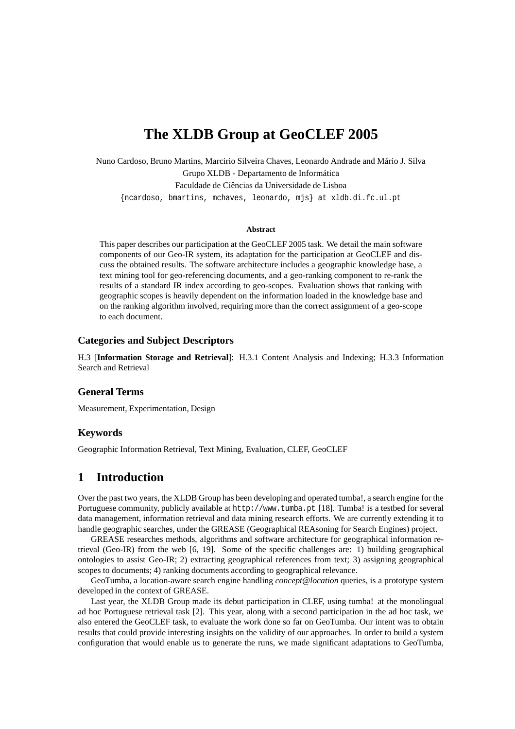# **The XLDB Group at GeoCLEF 2005**

Nuno Cardoso, Bruno Martins, Marcirio Silveira Chaves, Leonardo Andrade and Mário J. Silva Grupo XLDB - Departamento de Informática Faculdade de Ciências da Universidade de Lisboa {ncardoso, bmartins, mchaves, leonardo, mjs} at xldb.di.fc.ul.pt

#### **Abstract**

This paper describes our participation at the GeoCLEF 2005 task. We detail the main software components of our Geo-IR system, its adaptation for the participation at GeoCLEF and discuss the obtained results. The software architecture includes a geographic knowledge base, a text mining tool for geo-referencing documents, and a geo-ranking component to re-rank the results of a standard IR index according to geo-scopes. Evaluation shows that ranking with geographic scopes is heavily dependent on the information loaded in the knowledge base and on the ranking algorithm involved, requiring more than the correct assignment of a geo-scope to each document.

#### **Categories and Subject Descriptors**

H.3 [**Information Storage and Retrieval**]: H.3.1 Content Analysis and Indexing; H.3.3 Information Search and Retrieval

#### **General Terms**

Measurement, Experimentation, Design

#### **Keywords**

Geographic Information Retrieval, Text Mining, Evaluation, CLEF, GeoCLEF

## **1 Introduction**

Over the past two years, the XLDB Group has been developing and operated tumba!, a search engine for the Portuguese community, publicly available at http://www.tumba.pt [18]. Tumba! is a testbed for several data management, information retrieval and data mining research efforts. We are currently extending it to handle geographic searches, under the GREASE (Geographical REAsoning for Search Engines) project.

GREASE researches methods, algorithms and software architecture for geographical information retrieval (Geo-IR) from the web [6, 19]. Some of the specific challenges are: 1) building geographical ontologies to assist Geo-IR; 2) extracting geographical references from text; 3) assigning geographical scopes to documents; 4) ranking documents according to geographical relevance.

GeoTumba, a location-aware search engine handling *concept@location* queries, is a prototype system developed in the context of GREASE.

Last year, the XLDB Group made its debut participation in CLEF, using tumba! at the monolingual ad hoc Portuguese retrieval task [2]. This year, along with a second participation in the ad hoc task, we also entered the GeoCLEF task, to evaluate the work done so far on GeoTumba. Our intent was to obtain results that could provide interesting insights on the validity of our approaches. In order to build a system configuration that would enable us to generate the runs, we made significant adaptations to GeoTumba,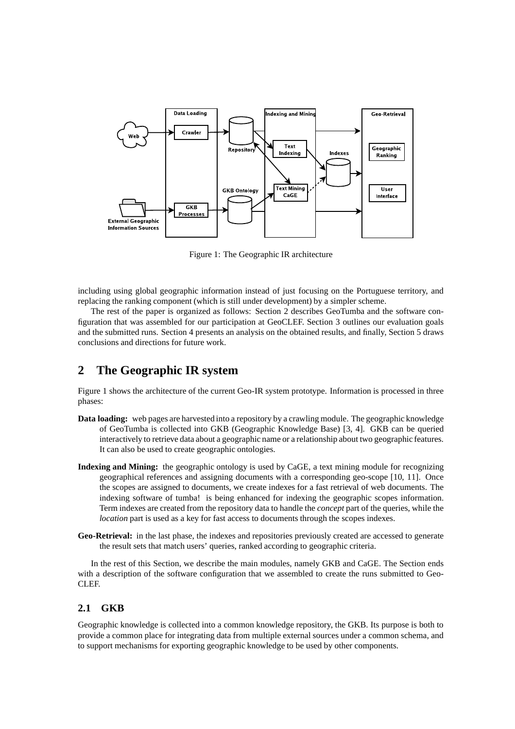

Figure 1: The Geographic IR architecture

including using global geographic information instead of just focusing on the Portuguese territory, and replacing the ranking component (which is still under development) by a simpler scheme.

The rest of the paper is organized as follows: Section 2 describes GeoTumba and the software configuration that was assembled for our participation at GeoCLEF. Section 3 outlines our evaluation goals and the submitted runs. Section 4 presents an analysis on the obtained results, and finally, Section 5 draws conclusions and directions for future work.

## **2 The Geographic IR system**

Figure 1 shows the architecture of the current Geo-IR system prototype. Information is processed in three phases:

- **Data loading:** web pages are harvested into a repository by a crawling module. The geographic knowledge of GeoTumba is collected into GKB (Geographic Knowledge Base) [3, 4]. GKB can be queried interactively to retrieve data about a geographic name or a relationship about two geographic features. It can also be used to create geographic ontologies.
- **Indexing and Mining:** the geographic ontology is used by CaGE, a text mining module for recognizing geographical references and assigning documents with a corresponding geo-scope [10, 11]. Once the scopes are assigned to documents, we create indexes for a fast retrieval of web documents. The indexing software of tumba! is being enhanced for indexing the geographic scopes information. Term indexes are created from the repository data to handle the *concept* part of the queries, while the *location* part is used as a key for fast access to documents through the scopes indexes.
- **Geo-Retrieval:** in the last phase, the indexes and repositories previously created are accessed to generate the result sets that match users' queries, ranked according to geographic criteria.

In the rest of this Section, we describe the main modules, namely GKB and CaGE. The Section ends with a description of the software configuration that we assembled to create the runs submitted to Geo-CLEF.

### **2.1 GKB**

Geographic knowledge is collected into a common knowledge repository, the GKB. Its purpose is both to provide a common place for integrating data from multiple external sources under a common schema, and to support mechanisms for exporting geographic knowledge to be used by other components.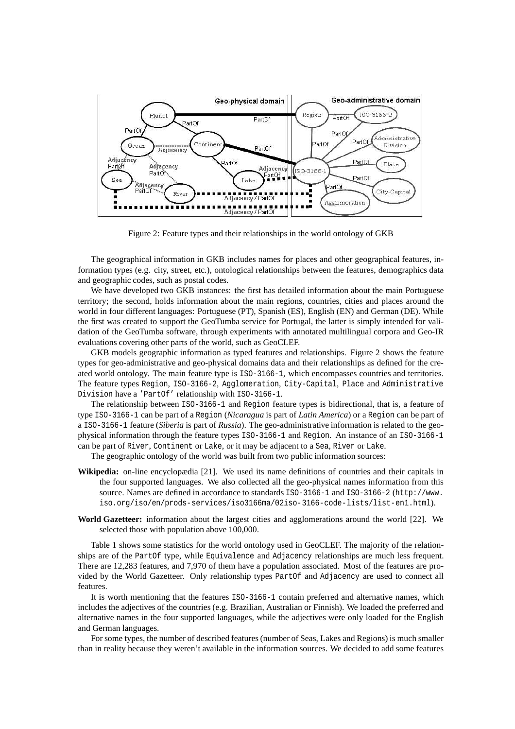

Figure 2: Feature types and their relationships in the world ontology of GKB

The geographical information in GKB includes names for places and other geographical features, information types (e.g. city, street, etc.), ontological relationships between the features, demographics data and geographic codes, such as postal codes.

We have developed two GKB instances: the first has detailed information about the main Portuguese territory; the second, holds information about the main regions, countries, cities and places around the world in four different languages: Portuguese (PT), Spanish (ES), English (EN) and German (DE). While the first was created to support the GeoTumba service for Portugal, the latter is simply intended for validation of the GeoTumba software, through experiments with annotated multilingual corpora and Geo-IR evaluations covering other parts of the world, such as GeoCLEF.

GKB models geographic information as typed features and relationships. Figure 2 shows the feature types for geo-administrative and geo-physical domains data and their relationships as defined for the created world ontology. The main feature type is ISO-3166-1, which encompasses countries and territories. The feature types Region, ISO-3166-2, Agglomeration, City-Capital, Place and Administrative Division have a 'PartOf' relationship with ISO-3166-1.

The relationship between ISO-3166-1 and Region feature types is bidirectional, that is, a feature of type ISO-3166-1 can be part of a Region (*Nicaragua* is part of *Latin America*) or a Region can be part of a ISO-3166-1 feature (*Siberia* is part of *Russia*). The geo-administrative information is related to the geophysical information through the feature types ISO-3166-1 and Region. An instance of an ISO-3166-1 can be part of River, Continent or Lake, or it may be adjacent to a Sea, River or Lake.

The geographic ontology of the world was built from two public information sources:

- **Wikipedia:** on-line encyclopædia [21]. We used its name definitions of countries and their capitals in the four supported languages. We also collected all the geo-physical names information from this source. Names are defined in accordance to standards ISO-3166-1 and ISO-3166-2 (http://www. iso.org/iso/en/prods-services/iso3166ma/02iso-3166-code-lists/list-en1.html).
- **World Gazetteer:** information about the largest cities and agglomerations around the world [22]. We selected those with population above 100,000.

Table 1 shows some statistics for the world ontology used in GeoCLEF. The majority of the relationships are of the PartOf type, while Equivalence and Adjacency relationships are much less frequent. There are 12,283 features, and 7,970 of them have a population associated. Most of the features are provided by the World Gazetteer. Only relationship types PartOf and Adjacency are used to connect all features.

It is worth mentioning that the features ISO-3166-1 contain preferred and alternative names, which includes the adjectives of the countries (e.g. Brazilian, Australian or Finnish). We loaded the preferred and alternative names in the four supported languages, while the adjectives were only loaded for the English and German languages.

For some types, the number of described features (number of Seas, Lakes and Regions) is much smaller than in reality because they weren't available in the information sources. We decided to add some features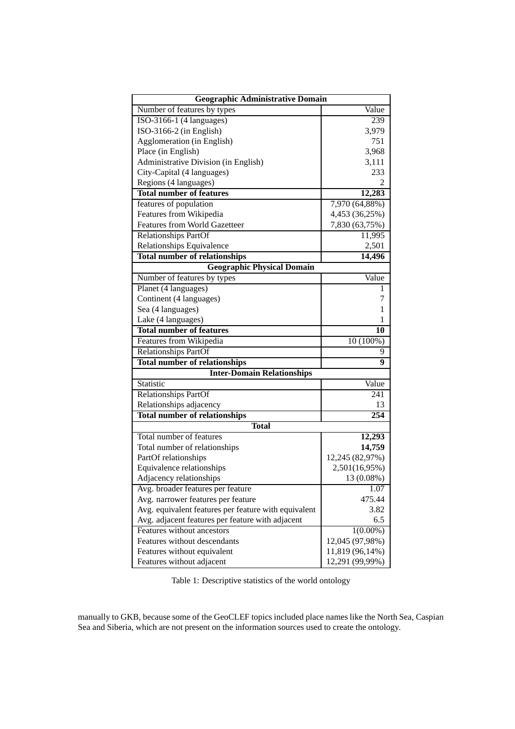| Geographic Administrative Domain                     |                 |  |  |  |
|------------------------------------------------------|-----------------|--|--|--|
| Number of features by types                          | Value           |  |  |  |
| ISO-3166-1 (4 languages)                             | 239             |  |  |  |
| ISO-3166-2 (in English)                              | 3,979           |  |  |  |
| Agglomeration (in English)                           | 751             |  |  |  |
| Place (in English)                                   | 3,968           |  |  |  |
| Administrative Division (in English)                 | 3,111           |  |  |  |
| City-Capital (4 languages)                           | 233             |  |  |  |
| Regions (4 languages)                                |                 |  |  |  |
| <b>Total number of features</b>                      | 12,283          |  |  |  |
| features of population                               | 7,970 (64,88%)  |  |  |  |
| Features from Wikipedia                              | 4,453 (36,25%)  |  |  |  |
| <b>Features from World Gazetteer</b>                 | 7,830 (63,75%)  |  |  |  |
| <b>Relationships PartOf</b>                          | 11,995          |  |  |  |
| Relationships Equivalence                            | 2,501           |  |  |  |
| <b>Total number of relationships</b>                 | 14,496          |  |  |  |
| <b>Geographic Physical Domain</b>                    |                 |  |  |  |
| Number of features by types                          | Value           |  |  |  |
| Planet (4 languages)                                 | 1               |  |  |  |
| Continent (4 languages)                              | 7               |  |  |  |
| Sea (4 languages)                                    | 1               |  |  |  |
| Lake (4 languages)                                   | 1               |  |  |  |
| <b>Total number of features</b>                      | 10              |  |  |  |
| Features from Wikipedia                              | 10 (100%)       |  |  |  |
| Relationships PartOf                                 | 9               |  |  |  |
| <b>Total number of relationships</b>                 | 9               |  |  |  |
| <b>Inter-Domain Relationships</b>                    |                 |  |  |  |
| Statistic                                            | Value           |  |  |  |
| <b>Relationships PartOf</b>                          | 241             |  |  |  |
| Relationships adjacency                              | 13              |  |  |  |
| <b>Total number of relationships</b>                 | 254             |  |  |  |
| <b>Total</b>                                         |                 |  |  |  |
| Total number of features                             | 12,293          |  |  |  |
| Total number of relationships                        | 14,759          |  |  |  |
| PartOf relationships                                 | 12,245 (82,97%) |  |  |  |
| Equivalence relationships                            | 2,501(16,95%)   |  |  |  |
| Adjacency relationships                              | 13 (0.08%)      |  |  |  |
| Avg. broader features per feature                    | 1.07            |  |  |  |
| Avg. narrower features per feature                   | 475.44          |  |  |  |
| Avg. equivalent features per feature with equivalent | 3.82            |  |  |  |
| Avg. adjacent features per feature with adjacent     | 6.5             |  |  |  |
| Features without ancestors                           | $1(0.00\%)$     |  |  |  |
| Features without descendants                         | 12,045 (97,98%) |  |  |  |
| Features without equivalent                          | 11,819 (96,14%) |  |  |  |
| Features without adjacent                            | 12,291 (99,99%) |  |  |  |

Table 1: Descriptive statistics of the world ontology

manually to GKB, because some of the GeoCLEF topics included place names like the North Sea, Caspian Sea and Siberia, which are not present on the information sources used to create the ontology.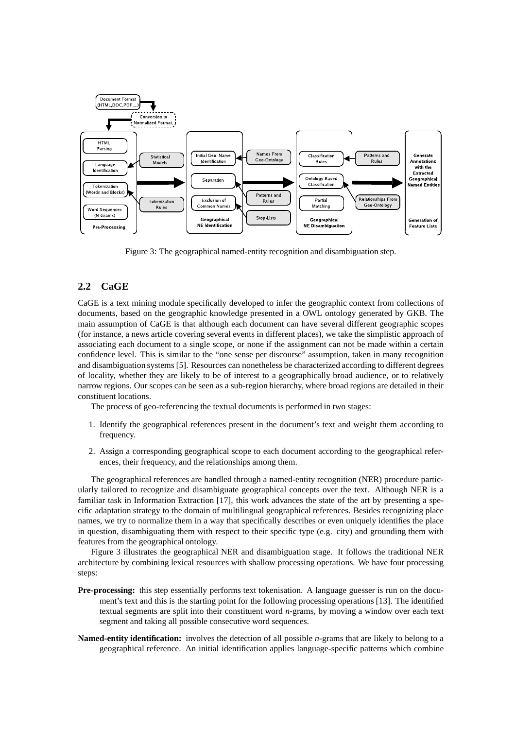

Figure 3: The geographical named-entity recognition and disambiguation step.

### **2.2 CaGE**

CaGE is a text mining module specifically developed to infer the geographic context from collections of documents, based on the geographic knowledge presented in a OWL ontology generated by GKB. The main assumption of CaGE is that although each document can have several different geographic scopes (for instance, a news article covering several events in different places), we take the simplistic approach of associating each document to a single scope, or none if the assignment can not be made within a certain confidence level. This is similar to the "one sense per discourse" assumption, taken in many recognition and disambiguation systems [5]. Resources can nonetheless be characterized according to different degrees of locality, whether they are likely to be of interest to a geographically broad audience, or to relatively narrow regions. Our scopes can be seen as a sub-region hierarchy, where broad regions are detailed in their constituent locations.

The process of geo-referencing the textual documents is performed in two stages:

- 1. Identify the geographical references present in the document's text and weight them according to frequency.
- 2. Assign a corresponding geographical scope to each document according to the geographical references, their frequency, and the relationships among them.

The geographical references are handled through a named-entity recognition (NER) procedure particularly tailored to recognize and disambiguate geographical concepts over the text. Although NER is a familiar task in Information Extraction [17], this work advances the state of the art by presenting a specific adaptation strategy to the domain of multilingual geographical references. Besides recognizing place names, we try to normalize them in a way that specifically describes or even uniquely identifies the place in question, disambiguating them with respect to their specific type (e.g. city) and grounding them with features from the geographical ontology.

Figure 3 illustrates the geographical NER and disambiguation stage. It follows the traditional NER architecture by combining lexical resources with shallow processing operations. We have four processing steps:

- **Pre-processing:** this step essentially performs text tokenisation. A language guesser is run on the document's text and this is the starting point for the following processing operations [13]. The identified textual segments are split into their constituent word *n*-grams, by moving a window over each text segment and taking all possible consecutive word sequences.
- **Named-entity identification:** involves the detection of all possible *n*-grams that are likely to belong to a geographical reference. An initial identification applies language-specific patterns which combine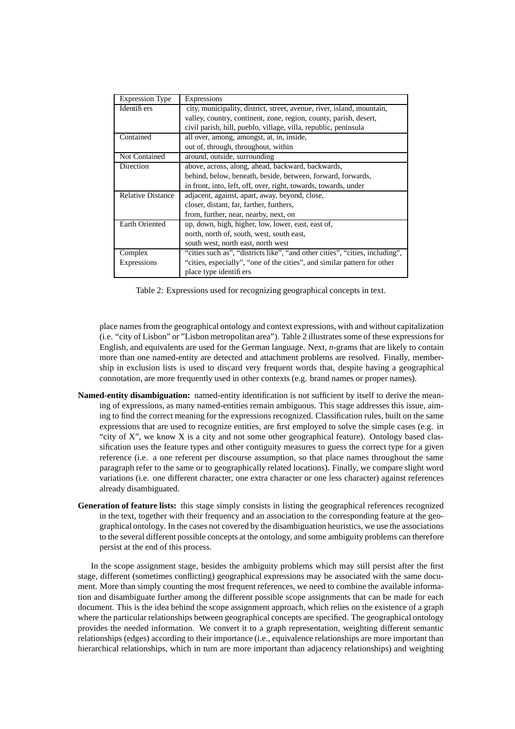| <b>Expression Type</b>   | Expressions                                                                  |  |  |
|--------------------------|------------------------------------------------------------------------------|--|--|
| Identifi ers             | city, municipality, district, street, avenue, river, island, mountain,       |  |  |
|                          | valley, country, continent, zone, region, county, parish, desert,            |  |  |
|                          | civil parish, hill, pueblo, village, villa, republic, peninsula              |  |  |
| Contained                | all over, among, amongst, at, in, inside,                                    |  |  |
|                          | out of, through, throughout, within                                          |  |  |
| <b>Not Contained</b>     | around, outside, surrounding                                                 |  |  |
| Direction                | above, across, along, ahead, backward, backwards,                            |  |  |
|                          | behind, below, beneath, beside, between, forward, forwards,                  |  |  |
|                          | in front, into, left, off, over, right, towards, towards, under              |  |  |
| <b>Relative Distance</b> | adjacent, against, apart, away, beyond, close,                               |  |  |
|                          | closer, distant, far, farther, furthers,                                     |  |  |
|                          | from, further, near, nearby, next, on                                        |  |  |
| <b>Earth Oriented</b>    | up, down, high, higher, low, lower, east, east of,                           |  |  |
|                          | north, north of, south, west, south east,                                    |  |  |
|                          | south west, north east, north west                                           |  |  |
| Complex                  | "cities such as", "districts like", "and other cities", "cities, including", |  |  |
| Expressions              | "cities, especially", "one of the cities", and similar pattern for other     |  |  |
|                          | place type identifiers                                                       |  |  |

Table 2: Expressions used for recognizing geographical concepts in text.

place names from the geographical ontology and context expressions, with and without capitalization (i.e. "city of Lisbon" or "Lisbon metropolitan area"). Table 2 illustrates some of these expressionsfor English, and equivalents are used for the German language. Next, *n*-grams that are likely to contain more than one named-entity are detected and attachment problems are resolved. Finally, membership in exclusion lists is used to discard very frequent words that, despite having a geographical connotation, are more frequently used in other contexts (e.g. brand names or proper names).

- **Named-entity disambiguation:** named-entity identification is not sufficient by itself to derive the meaning of expressions, as many named-entities remain ambiguous. This stage addresses this issue, aiming to find the correct meaning for the expressions recognized. Classification rules, built on the same expressions that are used to recognize entities, are first employed to solve the simple cases (e.g. in "city of X", we know X is a city and not some other geographical feature). Ontology based classification uses the feature types and other contiguity measures to guess the correct type for a given reference (i.e. a one referent per discourse assumption, so that place names throughout the same paragraph refer to the same or to geographically related locations). Finally, we compare slight word variations (i.e. one different character, one extra character or one less character) against references already disambiguated.
- **Generation of feature lists:** this stage simply consists in listing the geographical references recognized in the text, together with their frequency and an association to the corresponding feature at the geographical ontology. In the cases not covered by the disambiguation heuristics, we use the associations to the several different possible concepts at the ontology, and some ambiguity problems can therefore persist at the end of this process.

In the scope assignment stage, besides the ambiguity problems which may still persist after the first stage, different (sometimes conflicting) geographical expressions may be associated with the same document. More than simply counting the most frequent references, we need to combine the available information and disambiguate further among the different possible scope assignments that can be made for each document. This is the idea behind the scope assignment approach, which relies on the existence of a graph where the particular relationships between geographical concepts are specified. The geographical ontology provides the needed information. We convert it to a graph representation, weighting different semantic relationships (edges) according to their importance (i.e., equivalence relationships are more important than hierarchical relationships, which in turn are more important than adjacency relationships) and weighting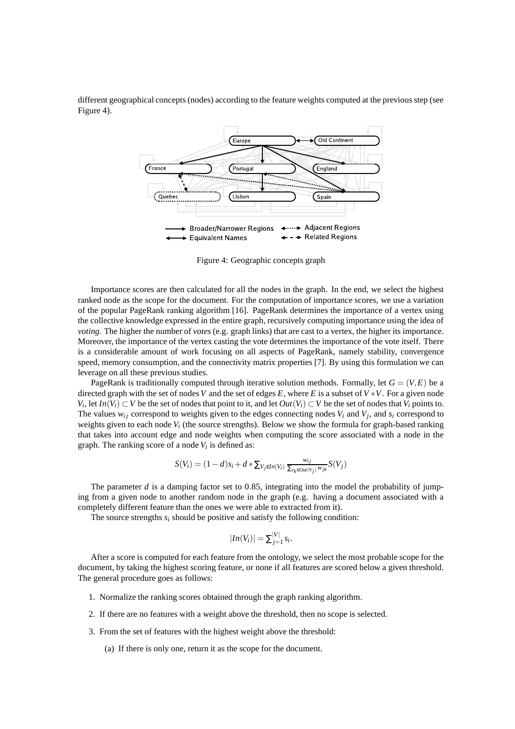different geographical concepts (nodes) according to the feature weights computed at the previous step (see Figure 4).



Figure 4: Geographic concepts graph

Importance scores are then calculated for all the nodes in the graph. In the end, we select the highest ranked node as the scope for the document. For the computation of importance scores, we use a variation of the popular PageRank ranking algorithm [16]. PageRank determines the importance of a vertex using the collective knowledge expressed in the entire graph, recursively computing importance using the idea of *voting*. The higher the number of *votes* (e.g. graph links) that are cast to a vertex, the higher its importance. Moreover, the importance of the vertex casting the vote determines the importance of the vote itself. There is a considerable amount of work focusing on all aspects of PageRank, namely stability, convergence speed, memory consumption, and the connectivity matrix properties [7]. By using this formulation we can leverage on all these previous studies.

PageRank is traditionally computed through iterative solution methods. Formally, let  $G = (V, E)$  be a directed graph with the set of nodes *V* and the set of edges *E*, where *E* is a subset of  $V * V$ . For a given node *V*<sup>*i*</sup>, let *In*(*V*<sup>*i*</sup>) ⊂ *V* be the set of nodes that point to it, and let *Out*(*V*<sup>*i*</sup>) ⊂ *V* be the set of nodes that *V*<sup>*i*</sup> points to. The values  $w_{ij}$  correspond to weights given to the edges connecting nodes  $V_i$  and  $V_j$ , and  $s_i$  correspond to weights given to each node  $V_i$  (the source strengths). Below we show the formula for graph-based ranking that takes into account edge and node weights when computing the score associated with a node in the graph. The ranking score of a node *V<sup>i</sup>* is defined as:

$$
S(V_i) = (1-d)s_i + d * \sum_{V_j \in In(V_i)} \frac{w_{ij}}{\sum_{v_k \in out(V_j)} w_{jk}} S(V_j)
$$

The parameter  $d$  is a damping factor set to 0.85, integrating into the model the probability of jumping from a given node to another random node in the graph (e.g. having a document associated with a completely different feature than the ones we were able to extracted from it).

The source strengths *s<sup>i</sup>* should be positive and satisfy the following condition:

$$
|In(V_i)| = \sum_{j=1}^{|V|} s_i.
$$

After a score is computed for each feature from the ontology, we select the most probable scope for the document, by taking the highest scoring feature, or none if all features are scored below a given threshold. The general procedure goes as follows:

- 1. Normalize the ranking scores obtained through the graph ranking algorithm.
- 2. If there are no features with a weight above the threshold, then no scope is selected.
- 3. From the set of features with the highest weight above the threshold:
	- (a) If there is only one, return it as the scope for the document.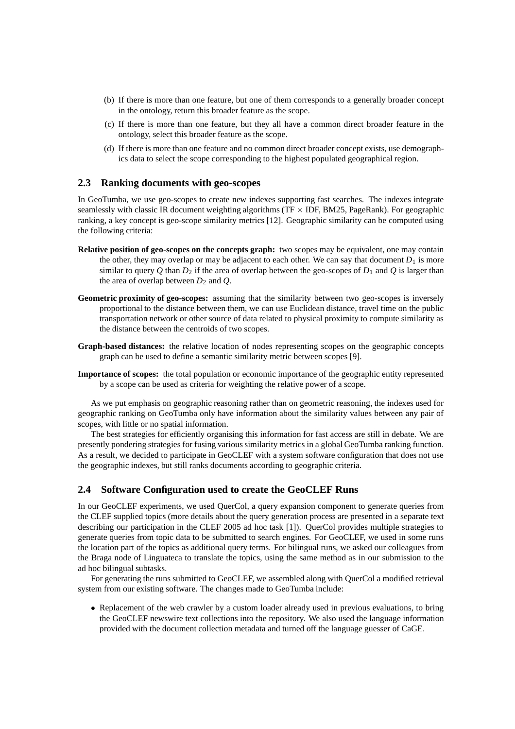- (b) If there is more than one feature, but one of them corresponds to a generally broader concept in the ontology, return this broader feature as the scope.
- (c) If there is more than one feature, but they all have a common direct broader feature in the ontology, select this broader feature as the scope.
- (d) If there is more than one feature and no common direct broader concept exists, use demographics data to select the scope corresponding to the highest populated geographical region.

#### **2.3 Ranking documents with geo-scopes**

In GeoTumba, we use geo-scopes to create new indexes supporting fast searches. The indexes integrate seamlessly with classic IR document weighting algorithms ( $TF \times IDF$ , BM25, PageRank). For geographic ranking, a key concept is geo-scope similarity metrics [12]. Geographic similarity can be computed using the following criteria:

- **Relative position of geo-scopes on the concepts graph:** two scopes may be equivalent, one may contain the other, they may overlap or may be adjacent to each other. We can say that document  $D_1$  is more similar to query Q than  $D_2$  if the area of overlap between the geo-scopes of  $D_1$  and Q is larger than the area of overlap between  $D_2$  and  $Q$ .
- **Geometric proximity of geo-scopes:** assuming that the similarity between two geo-scopes is inversely proportional to the distance between them, we can use Euclidean distance, travel time on the public transportation network or other source of data related to physical proximity to compute similarity as the distance between the centroids of two scopes.
- **Graph-based distances:** the relative location of nodes representing scopes on the geographic concepts graph can be used to define a semantic similarity metric between scopes [9].
- **Importance of scopes:** the total population or economic importance of the geographic entity represented by a scope can be used as criteria for weighting the relative power of a scope.

As we put emphasis on geographic reasoning rather than on geometric reasoning, the indexes used for geographic ranking on GeoTumba only have information about the similarity values between any pair of scopes, with little or no spatial information.

The best strategies for efficiently organising this information for fast access are still in debate. We are presently pondering strategies for fusing various similarity metrics in a global GeoTumba ranking function. As a result, we decided to participate in GeoCLEF with a system software configuration that does not use the geographic indexes, but still ranks documents according to geographic criteria.

#### **2.4 Software Configuration used to create the GeoCLEF Runs**

In our GeoCLEF experiments, we used QuerCol, a query expansion component to generate queries from the CLEF supplied topics (more details about the query generation process are presented in a separate text describing our participation in the CLEF 2005 ad hoc task [1]). QuerCol provides multiple strategies to generate queries from topic data to be submitted to search engines. For GeoCLEF, we used in some runs the location part of the topics as additional query terms. For bilingual runs, we asked our colleagues from the Braga node of Linguateca to translate the topics, using the same method as in our submission to the ad hoc bilingual subtasks.

For generating the runs submitted to GeoCLEF, we assembled along with QuerCol a modified retrieval system from our existing software. The changes made to GeoTumba include:

• Replacement of the web crawler by a custom loader already used in previous evaluations, to bring the GeoCLEF newswire text collections into the repository. We also used the language information provided with the document collection metadata and turned off the language guesser of CaGE.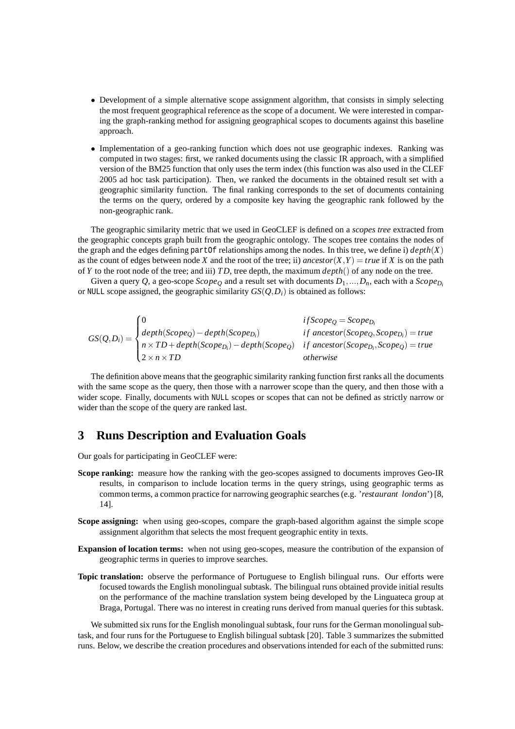- Development of a simple alternative scope assignment algorithm, that consists in simply selecting the most frequent geographical reference as the scope of a document. We were interested in comparing the graph-ranking method for assigning geographical scopes to documents against this baseline approach.
- Implementation of a geo-ranking function which does not use geographic indexes. Ranking was computed in two stages: first, we ranked documents using the classic IR approach, with a simplified version of the BM25 function that only uses the term index (this function was also used in the CLEF 2005 ad hoc task participation). Then, we ranked the documents in the obtained result set with a geographic similarity function. The final ranking corresponds to the set of documents containing the terms on the query, ordered by a composite key having the geographic rank followed by the non-geographic rank.

The geographic similarity metric that we used in GeoCLEF is defined on a *scopes tree* extracted from the geographic concepts graph built from the geographic ontology. The scopes tree contains the nodes of the graph and the edges defining partOf relationships among the nodes. In this tree, we define i) *depth*(*X*) as the count of edges between node *X* and the root of the tree; ii) *ancestor*(*X*,*Y*) = *true* if *X* is on the path of *Y* to the root node of the tree; and iii) *TD*, tree depth, the maximum *depth*() of any node on the tree.

Given a query Q, a geo-scope *Scope*<sup>O</sup> and a result set with documents  $D_1, ..., D_n$ , each with a *Scope*<sub> $D_i$ </sub> or NULL scope assigned, the geographic similarity  $GS(Q, D_i)$  is obtained as follows:

$$
GS(Q, D_i) = \begin{cases} 0 & if \text{Scope}_Q = \text{Scope}_{D_i} \\ depth(\text{Scope}_Q) - depth(\text{Scope}_{D_i}) & if \text{ ancestor}(\text{Scope}_Q, \text{Scope}_{D_i}) = true \\ n \times TD + depth(\text{Scope}_{D_i}) - depth(\text{Scope}_Q) & if \text{ ancestor}(\text{Scope}_{D_i}, \text{Scope}_Q) = true \\ 2 \times n \times TD & otherwise \end{cases}
$$

The definition above means that the geographic similarity ranking function first ranks all the documents with the same scope as the query, then those with a narrower scope than the query, and then those with a wider scope. Finally, documents with NULL scopes or scopes that can not be defined as strictly narrow or wider than the scope of the query are ranked last.

## **3 Runs Description and Evaluation Goals**

Our goals for participating in GeoCLEF were:

- **Scope ranking:** measure how the ranking with the geo-scopes assigned to documents improves Geo-IR results, in comparison to include location terms in the query strings, using geographic terms as common terms, a common practice for narrowing geographic searches (e.g. '*restaurant london*') [8, 14].
- **Scope assigning:** when using geo-scopes, compare the graph-based algorithm against the simple scope assignment algorithm that selects the most frequent geographic entity in texts.
- **Expansion of location terms:** when not using geo-scopes, measure the contribution of the expansion of geographic terms in queries to improve searches.
- **Topic translation:** observe the performance of Portuguese to English bilingual runs. Our efforts were focused towards the English monolingual subtask. The bilingual runs obtained provide initial results on the performance of the machine translation system being developed by the Linguateca group at Braga, Portugal. There was no interest in creating runs derived from manual queries for this subtask.

We submitted six runs for the English monolingual subtask, four runs for the German monolingual subtask, and four runs for the Portuguese to English bilingual subtask [20]. Table 3 summarizes the submitted runs. Below, we describe the creation procedures and observations intended for each of the submitted runs: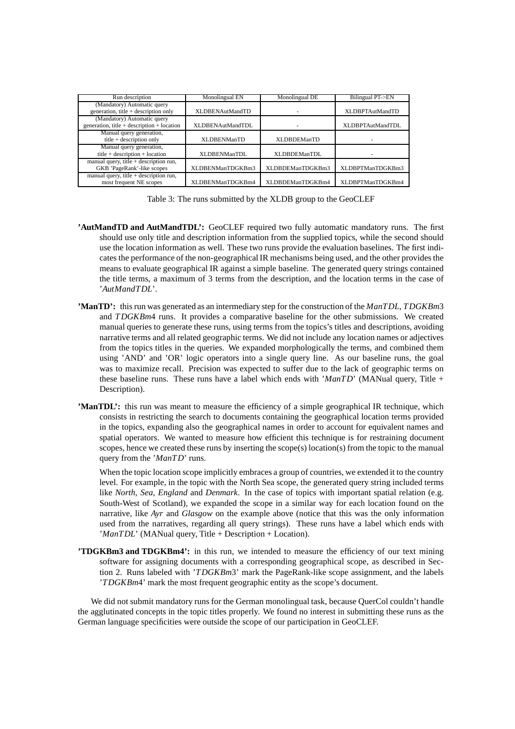| Run description                                | Monolingual EN          | Monolingual DE      | Bilingual PT->EN         |
|------------------------------------------------|-------------------------|---------------------|--------------------------|
| (Mandatory) Automatic query                    |                         |                     |                          |
| generation, title $+$ description only         | <b>XLDBENAutMandTD</b>  |                     | <b>XLDBPTAutMandTD</b>   |
| (Mandatory) Automatic query                    |                         |                     |                          |
| generation, title $+$ description $+$ location | <b>XLDBENAutMandTDL</b> |                     | <b>XLDBPTAutMandTDL</b>  |
| Manual query generation,                       |                         |                     |                          |
| title $+$ description only                     | <b>XLDBENManTD</b>      | <b>XLDBDEManTD</b>  | $\overline{\phantom{a}}$ |
| Manual query generation,                       |                         |                     |                          |
| title + description + location                 | XLDBENManTDL            | <b>XLDBDEManTDL</b> |                          |
| manual query, title $+$ description run,       |                         |                     |                          |
| GKB 'PageRank'-like scopes                     | XLDBENManTDGKBm3        | XLDBDEManTDGKBm3    | XLDBPTManTDGKBm3         |
| manual query, title $+$ description run,       |                         |                     |                          |
| most frequent NE scopes                        | XLDBENManTDGKBm4        | XLDBDEManTDGKBm4    | XLDBPTManTDGKBm4         |

Table 3: The runs submitted by the XLDB group to the GeoCLEF

- **'AutMandTD and AutMandTDL':** GeoCLEF required two fully automatic mandatory runs. The first should use only title and description information from the supplied topics, while the second should use the location information as well. These two runs provide the evaluation baselines. The first indicates the performance of the non-geographicalIR mechanisms being used, and the other provides the means to evaluate geographical IR against a simple baseline. The generated query strings contained the title terms, a maximum of 3 terms from the description, and the location terms in the case of '*AutMandTDL*'.
- **'ManTD':** this run was generated as an intermediary step for the construction of the *ManTDL*, *TDGKBm*3 and *TDGKBm*4 runs. It provides a comparative baseline for the other submissions. We created manual queries to generate these runs, using terms from the topics's titles and descriptions, avoiding narrative terms and all related geographic terms. We did not include any location names or adjectives from the topics titles in the queries. We expanded morphologically the terms, and combined them using 'AND' and 'OR' logic operators into a single query line. As our baseline runs, the goal was to maximize recall. Precision was expected to suffer due to the lack of geographic terms on these baseline runs. These runs have a label which ends with '*ManTD*' (MANual query, Title + Description).
- **'ManTDL':** this run was meant to measure the efficiency of a simple geographical IR technique, which consists in restricting the search to documents containing the geographical location terms provided in the topics, expanding also the geographical names in order to account for equivalent names and spatial operators. We wanted to measure how efficient this technique is for restraining document scopes, hence we created these runs by inserting the scope(s) location(s) from the topic to the manual query from the '*ManTD*' runs.

When the topic location scope implicitly embraces a group of countries, we extended it to the country level. For example, in the topic with the North Sea scope, the generated query string included terms like *North, Sea, England* and *Denmark*. In the case of topics with important spatial relation (e.g. South-West of Scotland), we expanded the scope in a similar way for each location found on the narrative, like *Ayr* and *Glasgow* on the example above (notice that this was the only information used from the narratives, regarding all query strings). These runs have a label which ends with '*ManTDL*' (MANual query, Title + Description + Location).

**'TDGKBm3 and TDGKBm4':** in this run, we intended to measure the efficiency of our text mining software for assigning documents with a corresponding geographical scope, as described in Section 2. Runs labeled with '*TDGKBm*3' mark the PageRank-like scope assignment, and the labels '*TDGKBm*4' mark the most frequent geographic entity as the scope's document.

We did not submit mandatory runs for the German monolingual task, because QuerCol couldn't handle the agglutinated concepts in the topic titles properly. We found no interest in submitting these runs as the German language specificities were outside the scope of our participation in GeoCLEF.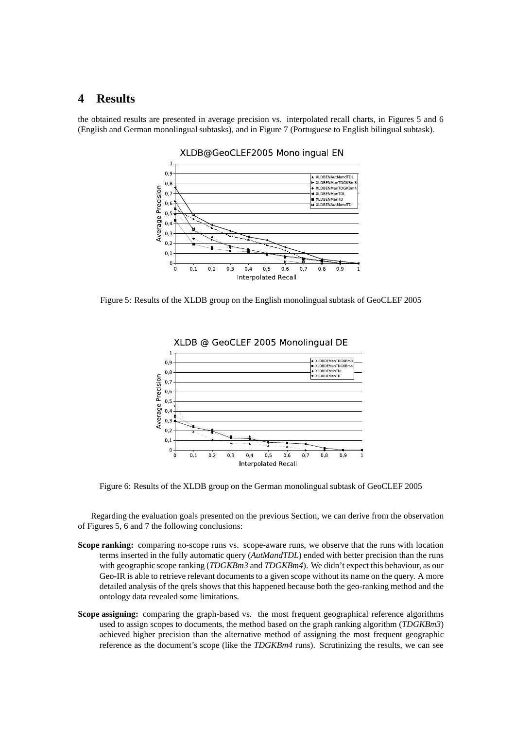## **4 Results**

the obtained results are presented in average precision vs. interpolated recall charts, in Figures 5 and 6 (English and German monolingual subtasks), and in Figure 7 (Portuguese to English bilingual subtask).



XLDB@GeoCLEF2005 Monolingual EN

Figure 5: Results of the XLDB group on the English monolingual subtask of GeoCLEF 2005



Figure 6: Results of the XLDB group on the German monolingual subtask of GeoCLEF 2005

Regarding the evaluation goals presented on the previous Section, we can derive from the observation of Figures 5, 6 and 7 the following conclusions:

- **Scope ranking:** comparing no-scope runs vs. scope-aware runs, we observe that the runs with location terms inserted in the fully automatic query (*AutMandTDL*) ended with better precision than the runs with geographic scope ranking (*TDGKBm3* and *TDGKBm4*). We didn't expect this behaviour, as our Geo-IR is able to retrieve relevant documents to a given scope without its name on the query. A more detailed analysis of the qrels shows that this happened because both the geo-ranking method and the ontology data revealed some limitations.
- **Scope assigning:** comparing the graph-based vs. the most frequent geographical reference algorithms used to assign scopes to documents, the method based on the graph ranking algorithm (*TDGKBm3*) achieved higher precision than the alternative method of assigning the most frequent geographic reference as the document's scope (like the *TDGKBm4* runs). Scrutinizing the results, we can see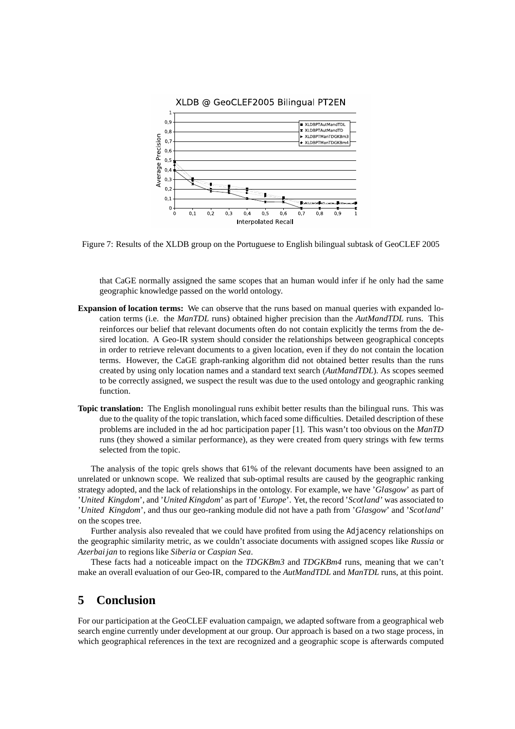

Figure 7: Results of the XLDB group on the Portuguese to English bilingual subtask of GeoCLEF 2005

that CaGE normally assigned the same scopes that an human would infer if he only had the same geographic knowledge passed on the world ontology.

- **Expansion of location terms:** We can observe that the runs based on manual queries with expanded location terms (i.e. the *ManTDL* runs) obtained higher precision than the *AutMandTDL* runs. This reinforces our belief that relevant documents often do not contain explicitly the terms from the desired location. A Geo-IR system should consider the relationships between geographical concepts in order to retrieve relevant documents to a given location, even if they do not contain the location terms. However, the CaGE graph-ranking algorithm did not obtained better results than the runs created by using only location names and a standard text search (*AutMandTDL*). As scopes seemed to be correctly assigned, we suspect the result was due to the used ontology and geographic ranking function.
- **Topic translation:** The English monolingual runs exhibit better results than the bilingual runs. This was due to the quality of the topic translation, which faced some difficulties. Detailed description of these problems are included in the ad hoc participation paper [1]. This wasn't too obvious on the *ManTD* runs (they showed a similar performance), as they were created from query strings with few terms selected from the topic.

The analysis of the topic qrels shows that 61% of the relevant documents have been assigned to an unrelated or unknown scope. We realized that sub-optimal results are caused by the geographic ranking strategy adopted, and the lack of relationships in the ontology. For example, we have '*Glasgow*' as part of '*United Kingdom*', and '*United Kingdom*' as part of '*Europe*'. Yet, the record '*Scotland*' was associated to '*United Kingdom*', and thus our geo-ranking module did not have a path from '*Glasgow*' and '*Scotland*' on the scopes tree.

Further analysis also revealed that we could have profited from using the Adjacency relationships on the geographic similarity metric, as we couldn't associate documents with assigned scopes like *Russia* or *Azerbai jan* to regions like *Siberia* or *Caspian Sea*.

These facts had a noticeable impact on the *TDGKBm3* and *TDGKBm4* runs, meaning that we can't make an overall evaluation of our Geo-IR, compared to the *AutMandTDL* and *ManTDL* runs, at this point.

## **5 Conclusion**

For our participation at the GeoCLEF evaluation campaign, we adapted software from a geographical web search engine currently under development at our group. Our approach is based on a two stage process, in which geographical references in the text are recognized and a geographic scope is afterwards computed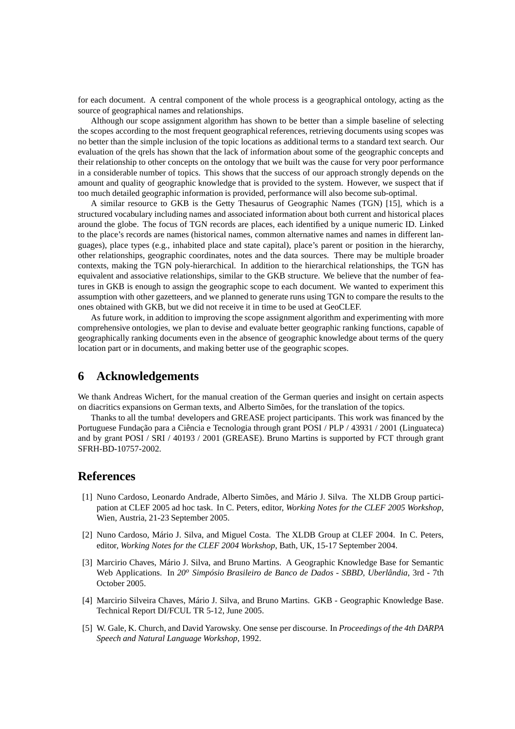for each document. A central component of the whole process is a geographical ontology, acting as the source of geographical names and relationships.

Although our scope assignment algorithm has shown to be better than a simple baseline of selecting the scopes according to the most frequent geographical references, retrieving documents using scopes was no better than the simple inclusion of the topic locations as additional terms to a standard text search. Our evaluation of the qrels has shown that the lack of information about some of the geographic concepts and their relationship to other concepts on the ontology that we built was the cause for very poor performance in a considerable number of topics. This shows that the success of our approach strongly depends on the amount and quality of geographic knowledge that is provided to the system. However, we suspect that if too much detailed geographic information is provided, performance will also become sub-optimal.

A similar resource to GKB is the Getty Thesaurus of Geographic Names (TGN) [15], which is a structured vocabulary including names and associated information about both current and historical places around the globe. The focus of TGN records are places, each identified by a unique numeric ID. Linked to the place's records are names (historical names, common alternative names and names in different languages), place types (e.g., inhabited place and state capital), place's parent or position in the hierarchy, other relationships, geographic coordinates, notes and the data sources. There may be multiple broader contexts, making the TGN poly-hierarchical. In addition to the hierarchical relationships, the TGN has equivalent and associative relationships, similar to the GKB structure. We believe that the number of features in GKB is enough to assign the geographic scope to each document. We wanted to experiment this assumption with other gazetteers, and we planned to generate runs using TGN to compare the results to the ones obtained with GKB, but we did not receive it in time to be used at GeoCLEF.

As future work, in addition to improving the scope assignment algorithm and experimenting with more comprehensive ontologies, we plan to devise and evaluate better geographic ranking functions, capable of geographically ranking documents even in the absence of geographic knowledge about terms of the query location part or in documents, and making better use of the geographic scopes.

## **6 Acknowledgements**

We thank Andreas Wichert, for the manual creation of the German queries and insight on certain aspects on diacritics expansions on German texts, and Alberto Simões, for the translation of the topics.

Thanks to all the tumba! developers and GREASE project participants. This work was financed by the Portuguese Fundação para a Ciência e Tecnologia through grant POSI / PLP / 43931 / 2001 (Linguateca) and by grant POSI / SRI / 40193 / 2001 (GREASE). Bruno Martins is supported by FCT through grant SFRH-BD-10757-2002.

### **References**

- [1] Nuno Cardoso, Leonardo Andrade, Alberto Simões, and Mário J. Silva. The XLDB Group participation at CLEF 2005 ad hoc task. In C. Peters, editor, *Working Notes for the CLEF 2005 Workshop*, Wien, Austria, 21-23 September 2005.
- [2] Nuno Cardoso, Mário J. Silva, and Miguel Costa. The XLDB Group at CLEF 2004. In C. Peters, editor, *Working Notes for the CLEF 2004 Workshop*, Bath, UK, 15-17 September 2004.
- [3] Marcirio Chaves, Mário J. Silva, and Bruno Martins. A Geographic Knowledge Base for Semantic Web Applications. In *20<sup>o</sup> Simpósio Brasileiro de Banco de Dados - SBBD, Uberlândia*, 3rd - 7th October 2005.
- [4] Marcirio Silveira Chaves, Mário J. Silva, and Bruno Martins. GKB Geographic Knowledge Base. Technical Report DI/FCUL TR 5-12, June 2005.
- [5] W. Gale, K. Church, and David Yarowsky. One sense per discourse. In *Proceedings of the 4th DARPA Speech and Natural Language Workshop*, 1992.